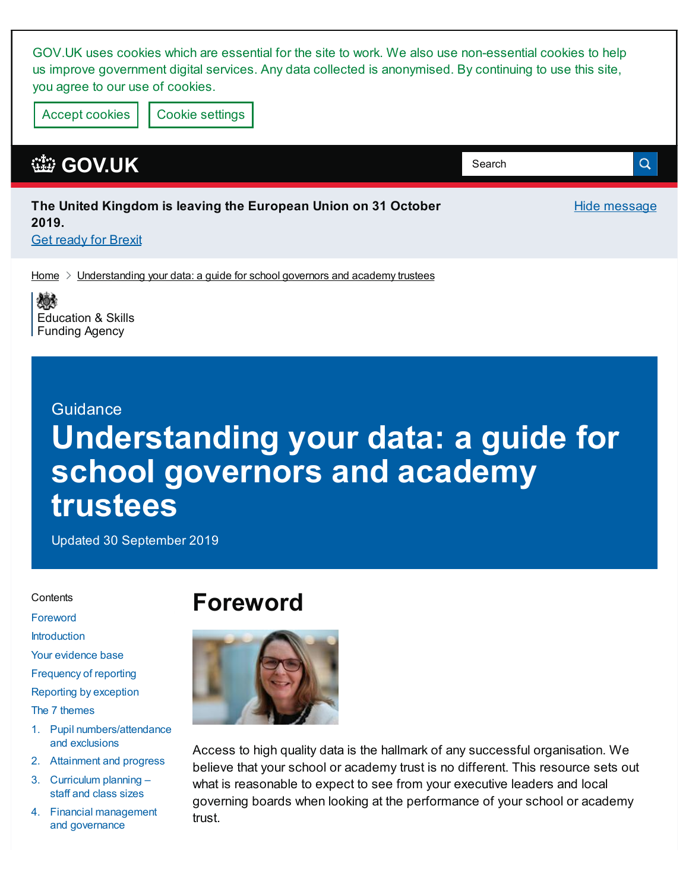GOV.UK uses cookies which are essential for the site to work. We also use non-essential cookies to help us improve government digital services. Any data collected is anonymised. By continuing to use this site, you agree to our use of cookies.

Accept cookies | Cookie [settings](https://www.gov.uk/help/cookies)

### **[GOV.UK](https://www.gov.uk)**

| The United Kingdom is leaving the European Union on 31 October | Hide m |
|----------------------------------------------------------------|--------|
| 2019.                                                          |        |
| <b>Get ready for Brexit</b>                                    |        |

essage

Q

Search

 $H$ ome  $\geq$  [Understanding](https://www.gov.uk/government/publications/understanding-your-data-a-guide-for-school-governors-and-academy-trustees) your data: a guide for school governors and academy trustees

嫁 [Education](https://www.gov.uk/government/organisations/education-and-skills-funding-agency) & Skills Funding Agency

#### **Guidance**

# **Understanding your data: a guide for school governors and academy trustees**

Updated 30 September 2019

#### **Contents**

[Foreword](#page-0-0)

[Introduction](#page-1-0)

Your [evidence](#page-2-0) base

[Frequency](#page-3-0) of reporting

[Reporting](#page-3-1) by exception

The 7 [themes](#page-4-0)

- 1. Pupil [numbers/attendance](#page-4-1) and exclusions
- 2. [Attainment](#page-6-0) and progress
- 3. [Curriculum](#page-7-0) planning staff and class sizes
- 4. Financial [management](#page-9-0) and governance

### <span id="page-0-0"></span>**Foreword**



Access to high quality data is the hallmark of any successful organisation. We believe that your school or academy trust is no different. This resource sets out what is reasonable to expect to see from your executive leaders and local governing boards when looking at the performance of your school or academy trust.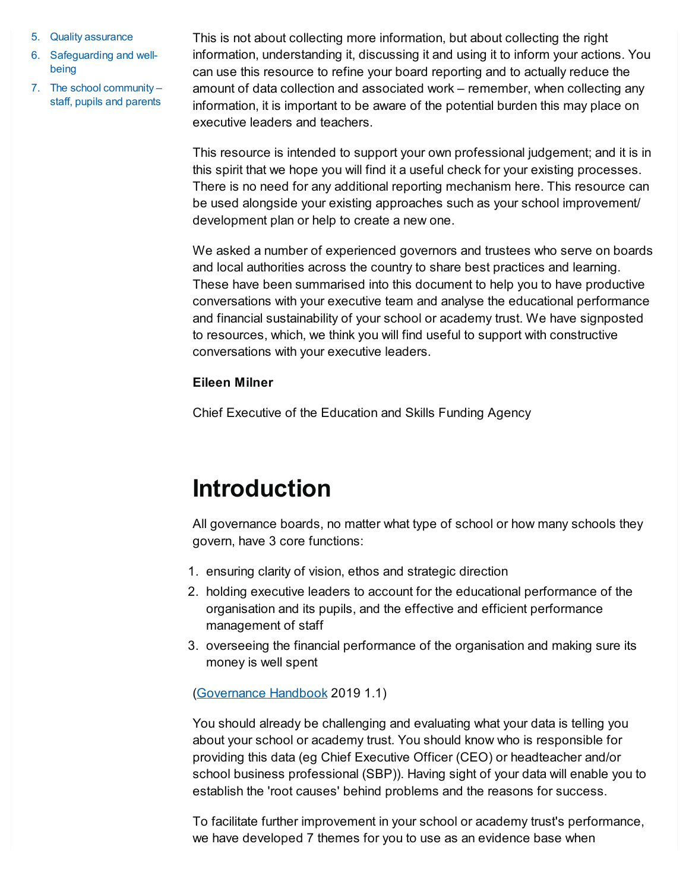- 5. Quality assurance
- 6. [Safeguarding](#page-16-0) and wellbeing
- 7. The school [community](#page-17-0) staff, pupils and parents

This is not about collecting more information, but about collecting the right information, understanding it, discussing it and using it to inform your actions. You can use this resource to refine your board reporting and to actually reduce the amount of data collection and associated work – remember, when collecting any information, it is important to be aware of the potential burden this may place on executive leaders and teachers.

This resource is intended to support your own professional judgement; and it is in this spirit that we hope you will find it a useful check for your existing processes. There is no need for any additional reporting mechanism here. This resource can be used alongside your existing approaches such as your school improvement/ development plan or help to create a new one.

We asked a number of experienced governors and trustees who serve on boards and local authorities across the country to share best practices and learning. These have been summarised into this document to help you to have productive conversations with your executive team and analyse the educational performance and financial sustainability of your school or academy trust. We have signposted to resources, which, we think you will find useful to support with constructive conversations with your executive leaders.

#### **Eileen Milner**

Chief Executive of the Education and Skills Funding Agency

# <span id="page-1-0"></span>**Introduction**

All governance boards, no matter what type of school or how many schools they govern, have 3 core functions:

- 1. ensuring clarity of vision, ethos and strategic direction
- 2. holding executive leaders to account for the educational performance of the organisation and its pupils, and the effective and efficient performance management of staff
- 3. overseeing the financial performance of the organisation and making sure its money is well spent

[\(Governance](https://www.gov.uk/government/publications/governance-handbook) Handbook 2019 1.1)

You should already be challenging and evaluating what your data is telling you about your school or academy trust. You should know who is responsible for providing this data (eg Chief Executive Officer (CEO) or headteacher and/or school business professional (SBP)). Having sight of your data will enable you to establish the 'root causes' behind problems and the reasons for success.

To facilitate further improvement in your school or academy trust's performance, we have developed 7 themes for you to use as an evidence base when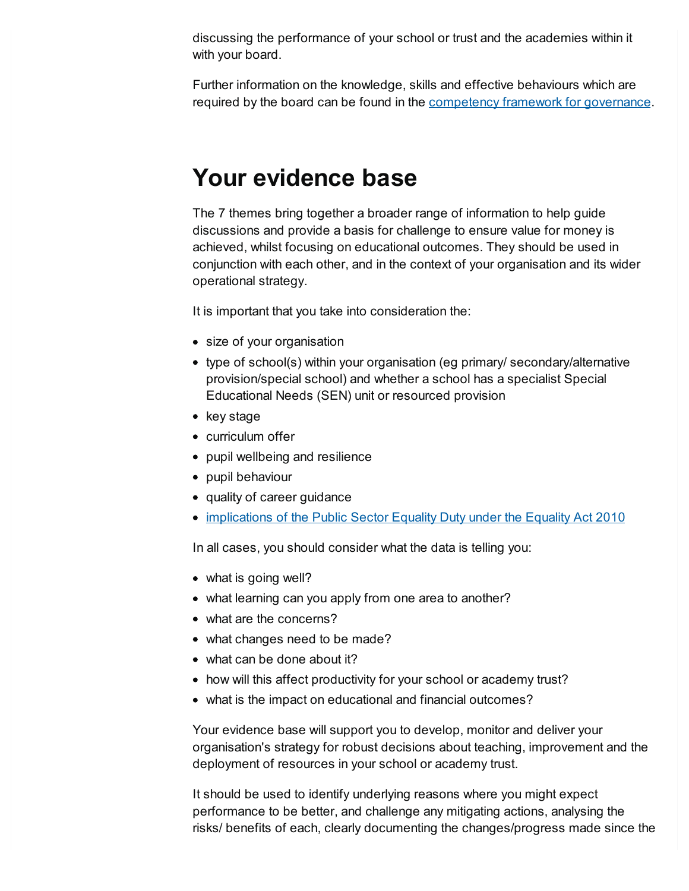discussing the performance of your school or trust and the academies within it with your board.

Further information on the knowledge, skills and effective behaviours which are required by the board can be found in the [competency](https://www.gov.uk/government/publications/governance-handbook) framework for governance.

## <span id="page-2-0"></span>**Your evidence base**

The 7 themes bring together a broader range of information to help guide discussions and provide a basis for challenge to ensure value for money is achieved, whilst focusing on educational outcomes. They should be used in conjunction with each other, and in the context of your organisation and its wider operational strategy.

It is important that you take into consideration the:

- size of your organisation
- type of school(s) within your organisation (eg primary/ secondary/alternative provision/special school) and whether a school has a specialist Special Educational Needs (SEN) unit or resourced provision
- $\bullet$  key stage
- curriculum offer
- pupil wellbeing and resilience
- pupil behaviour
- quality of career guidance
- [implications](https://www.gov.uk/government/publications/equality-act-2010-advice-for-schools) of the Public Sector Equality Duty under the Equality Act 2010

In all cases, you should consider what the data is telling you:

- what is going well?
- what learning can you apply from one area to another?
- what are the concerns?
- what changes need to be made?
- what can be done about it?
- how will this affect productivity for your school or academy trust?
- what is the impact on educational and financial outcomes?

Your evidence base will support you to develop, monitor and deliver your organisation's strategy for robust decisions about teaching, improvement and the deployment of resources in your school or academy trust.

It should be used to identify underlying reasons where you might expect performance to be better, and challenge any mitigating actions, analysing the risks/ benefits of each, clearly documenting the changes/progress made since the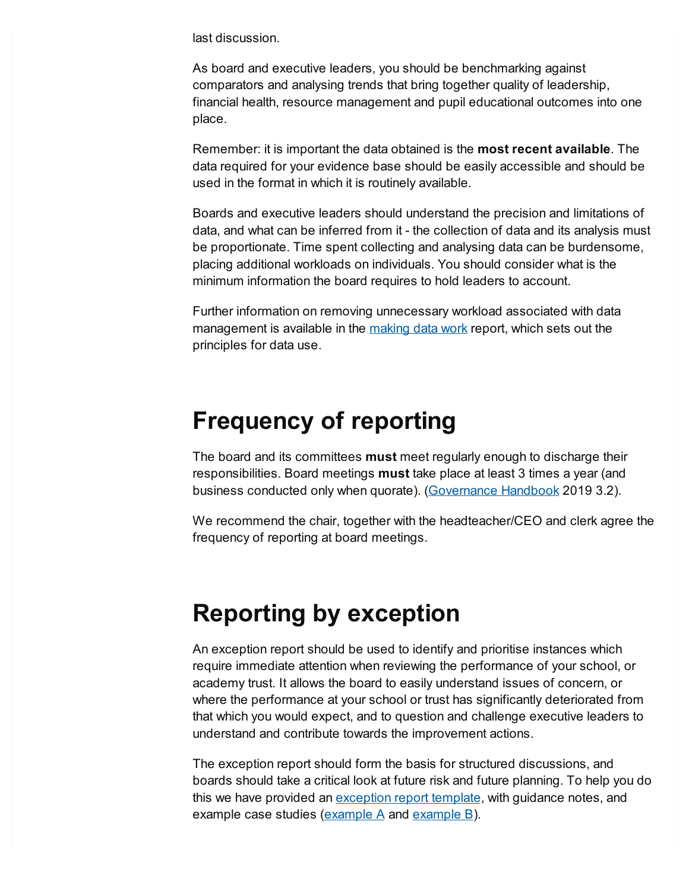last discussion.

As board and executive leaders, you should be benchmarking against comparators and analysing trends that bring together quality of leadership, financial health, resource management and pupil educational outcomes into one place.

Remember: it is important the data obtained is the **most recent available**. The data required for your evidence base should be easily accessible and should be used in the format in which it is routinely available.

Boards and executive leaders should understand the precision and limitations of data, and what can be inferred from it - the collection of data and its analysis must be proportionate. Time spent collecting and analysing data can be burdensome, placing additional workloads on individuals. You should consider what is the minimum information the board requires to hold leaders to account.

Further information on removing unnecessary workload associated with data management is available in the [making](https://www.gov.uk/government/publications/teacher-workload-advisory-group-report-and-government-response) data work report, which sets out the principles for data use.

### <span id="page-3-0"></span>**Frequency of reporting**

The board and its committees **must** meet regularly enough to discharge their responsibilities. Board meetings **must** take place at least 3 times a year (and business conducted only when quorate). [\(Governance](https://assets.publishing.service.gov.uk/government/uploads/system/uploads/attachment_data/file/788234/governance_handbook_2019.pdf) Handbook 2019 3.2).

We recommend the chair, together with the headteacher/CEO and clerk agree the frequency of reporting at board meetings.

## <span id="page-3-1"></span>**Reporting by exception**

An exception report should be used to identify and prioritise instances which require immediate attention when reviewing the performance of your school, or academy trust. It allows the board to easily understand issues of concern, or where the performance at your school or trust has significantly deteriorated from that which you would expect, and to question and challenge executive leaders to understand and contribute towards the improvement actions.

The exception report should form the basis for structured discussions, and boards should take a critical look at future risk and future planning. To help you do this we have provided an [exception](https://assets.publishing.service.gov.uk/government/uploads/system/uploads/attachment_data/file/826199/Exceptions_report_template.odt) report template, with guidance notes, and [example](https://assets.publishing.service.gov.uk/government/uploads/system/uploads/attachment_data/file/826201/Exceptions_report_anonymous_example_B.odt) case studies (**example A** and **example B**).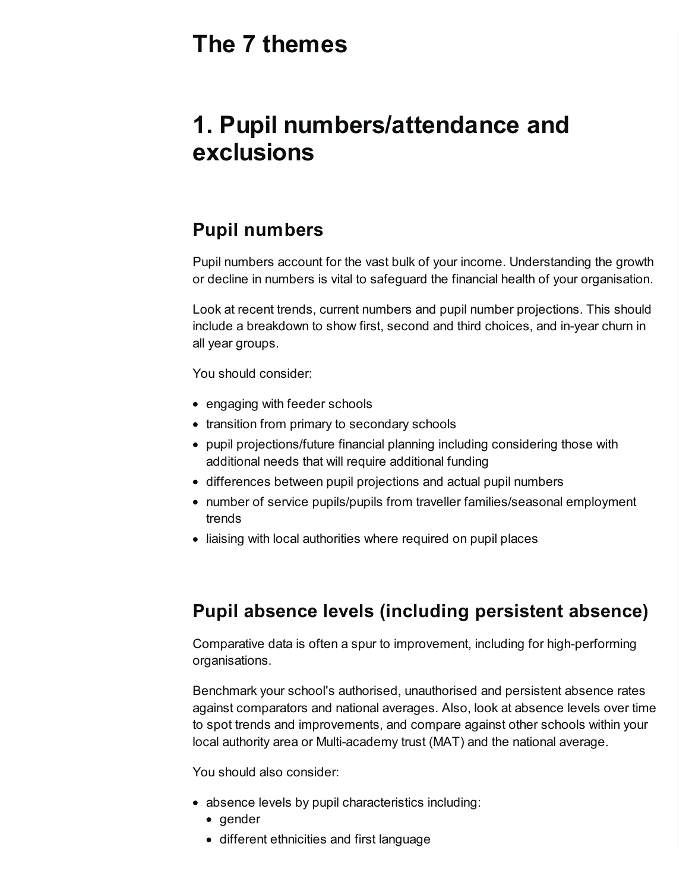## <span id="page-4-0"></span>**The 7 themes**

# <span id="page-4-1"></span>**1. Pupil numbers/attendance and exclusions**

### **Pupil numbers**

Pupil numbers account for the vast bulk of your income. Understanding the growth or decline in numbers is vital to safeguard the financial health of your organisation.

Look at recent trends, current numbers and pupil number projections. This should include a breakdown to show first, second and third choices, and in-year churn in all year groups.

You should consider:

- engaging with feeder schools
- transition from primary to secondary schools
- pupil projections/future financial planning including considering those with additional needs that will require additional funding
- differences between pupil projections and actual pupil numbers
- number of service pupils/pupils from traveller families/seasonal employment trends
- liaising with local authorities where required on pupil places

#### **Pupil absence levels (including persistent absence)**

Comparative data is often a spur to improvement, including for high-performing organisations.

Benchmark your school's authorised, unauthorised and persistent absence rates against comparators and national averages. Also, look at absence levels over time to spot trends and improvements, and compare against other schools within your local authority area or Multi-academy trust (MAT) and the national average.

You should also consider:

- absence levels by pupil characteristics including:
	- gender
	- different ethnicities and first language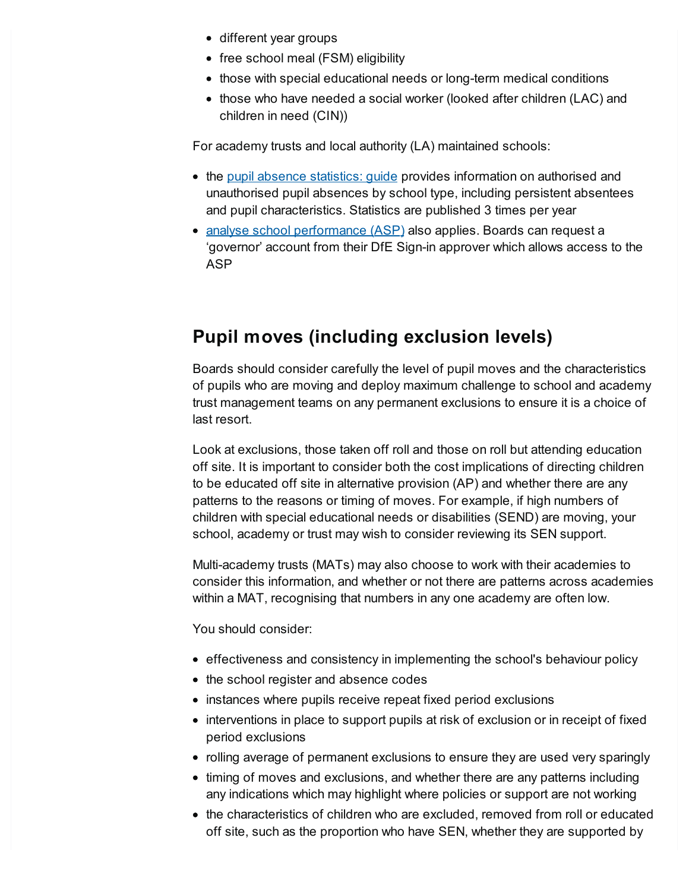- different year groups
- free school meal (FSM) eligibility
- those with special educational needs or long-term medical conditions
- those who have needed a social worker (looked after children (LAC) and children in need (CIN))

For academy trusts and local authority (LA) maintained schools:

- the pupil absence [statistics:](https://www.gov.uk/government/collections/statistics-pupil-absence) quide provides information on authorised and unauthorised pupil absences by school type, including persistent absentees and pupil characteristics. Statistics are published 3 times per year
- analyse school [performance](https://services.signin.education.gov.uk/) (ASP) also applies. Boards can request a 'governor' account from their DfE Sign-in approver which allows access to the ASP

### **Pupil moves (including exclusion levels)**

Boards should consider carefully the level of pupil moves and the characteristics of pupils who are moving and deploy maximum challenge to school and academy trust management teams on any permanent exclusions to ensure it is a choice of last resort.

Look at exclusions, those taken off roll and those on roll but attending education off site. It is important to consider both the cost implications of directing children to be educated off site in alternative provision (AP) and whether there are any patterns to the reasons or timing of moves. For example, if high numbers of children with special educational needs or disabilities (SEND) are moving, your school, academy or trust may wish to consider reviewing its SEN support.

Multi-academy trusts (MATs) may also choose to work with their academies to consider this information, and whether or not there are patterns across academies within a MAT, recognising that numbers in any one academy are often low.

You should consider:

- effectiveness and consistency in implementing the school's behaviour policy
- the school register and absence codes
- instances where pupils receive repeat fixed period exclusions
- interventions in place to support pupils at risk of exclusion or in receipt of fixed period exclusions
- rolling average of permanent exclusions to ensure they are used very sparingly
- timing of moves and exclusions, and whether there are any patterns including any indications which may highlight where policies or support are not working
- the characteristics of children who are excluded, removed from roll or educated off site, such as the proportion who have SEN, whether they are supported by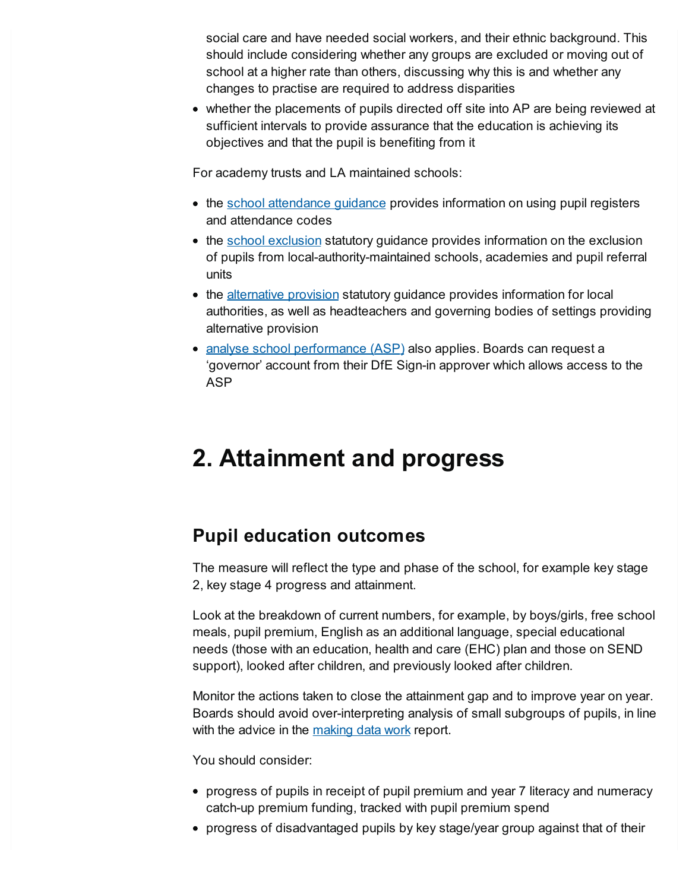social care and have needed social workers, and their ethnic background. This should include considering whether any groups are excluded or moving out of school at a higher rate than others, discussing why this is and whether any changes to practise are required to address disparities

• whether the placements of pupils directed off site into AP are being reviewed at sufficient intervals to provide assurance that the education is achieving its objectives and that the pupil is benefiting from it

For academy trusts and LA maintained schools:

- the school [attendance](https://www.gov.uk/government/publications/school-attendance) quidance provides information on using pupil registers and attendance codes
- the school [exclusion](https://www.gov.uk/government/publications/school-exclusion) statutory guidance provides information on the exclusion of pupils from local-authority-maintained schools, academies and pupil referral units
- the [alternative](https://www.gov.uk/government/publications/alternative-provision) provision statutory guidance provides information for local authorities, as well as headteachers and governing bodies of settings providing alternative provision
- analyse school [performance](https://services.signin.education.gov.uk/) (ASP) also applies. Boards can request a 'governor' account from their DfE Sign-in approver which allows access to the ASP

# <span id="page-6-0"></span>**2. Attainment and progress**

### **Pupil education outcomes**

The measure will reflect the type and phase of the school, for example key stage 2, key stage 4 progress and attainment.

Look at the breakdown of current numbers, for example, by boys/girls, free school meals, pupil premium, English as an additional language, special educational needs (those with an education, health and care (EHC) plan and those on SEND support), looked after children, and previously looked after children.

Monitor the actions taken to close the attainment gap and to improve year on year. Boards should avoid over-interpreting analysis of small subgroups of pupils, in line with the advice in the [making](https://www.gov.uk/government/publications/teacher-workload-advisory-group-report-and-government-response) data work report.

You should consider:

- progress of pupils in receipt of pupil premium and year 7 literacy and numeracy catch-up premium funding, tracked with pupil premium spend
- progress of disadvantaged pupils by key stage/year group against that of their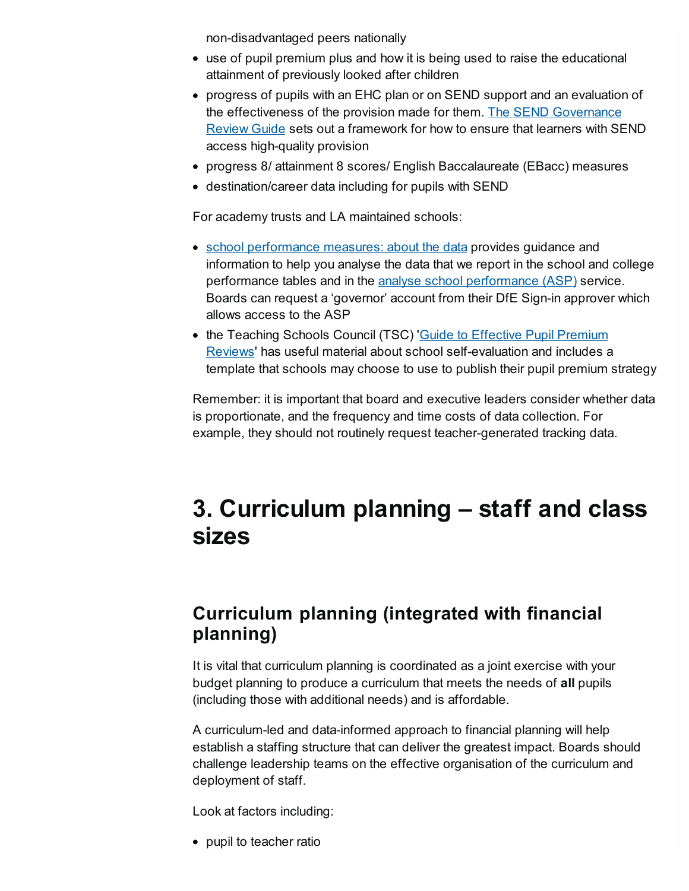non-disadvantaged peers nationally

- use of pupil premium plus and how it is being used to raise the educational attainment of previously looked after children
- progress of pupils with an EHC plan or on SEND support and an evaluation of the effectiveness of the provision made for them. The SEND [Governance](https://sendgov.co.uk/) Review Guide sets out a framework for how to ensure that learners with SEND access high-quality provision
- progress 8/ attainment 8 scores/ English Baccalaureate (EBacc) measures
- destination/career data including for pupils with SEND

For academy trusts and LA maintained schools:

- school [performance](https://www.gov.uk/government/collections/school-performance-tables-about-the-data) measures: about the data provides guidance and information to help you analyse the data that we report in the school and college performance tables and in the analyse school [performance](https://www.gov.uk/school-performance-tables) (ASP) service. Boards can request a 'governor' account from their DfE Sign-in approver which allows access to the ASP
- the Teaching Schools Council (TSC) Guide to Effective Pupil Premium Reviews' has useful material about school [self-evaluation](https://www.tscouncil.org.uk/resources/guide-to-effective-pupil-premium-review/) and includes a template that schools may choose to use to publish their pupil premium strategy

Remember: it is important that board and executive leaders consider whether data is proportionate, and the frequency and time costs of data collection. For example, they should not routinely request teacher-generated tracking data.

# <span id="page-7-0"></span>**3. Curriculum planning – staff and class sizes**

### **Curriculum planning (integrated with financial planning)**

It is vital that curriculum planning is coordinated as a joint exercise with your budget planning to produce a curriculum that meets the needs of **all** pupils (including those with additional needs) and is affordable.

A curriculum-led and data-informed approach to financial planning will help establish a staffing structure that can deliver the greatest impact. Boards should challenge leadership teams on the effective organisation of the curriculum and deployment of staff.

Look at factors including:

• pupil to teacher ratio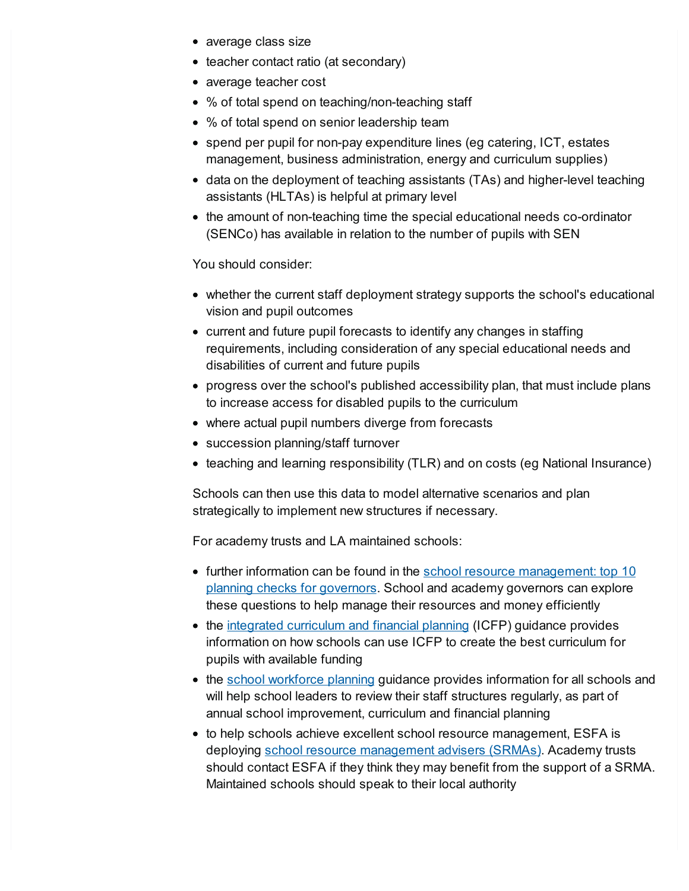- average class size
- teacher contact ratio (at secondary)
- average teacher cost
- % of total spend on teaching/non-teaching staff
- % of total spend on senior leadership team
- spend per pupil for non-pay expenditure lines (eg catering, ICT, estates management, business administration, energy and curriculum supplies)
- data on the deployment of teaching assistants (TAs) and higher-level teaching assistants (HLTAs) is helpful at primary level
- the amount of non-teaching time the special educational needs co-ordinator (SENCo) has available in relation to the number of pupils with SEN

You should consider:

- whether the current staff deployment strategy supports the school's educational vision and pupil outcomes
- current and future pupil forecasts to identify any changes in staffing requirements, including consideration of any special educational needs and disabilities of current and future pupils
- progress over the school's published accessibility plan, that must include plans to increase access for disabled pupils to the curriculum
- where actual pupil numbers diverge from forecasts
- succession planning/staff turnover
- teaching and learning responsibility (TLR) and on costs (eg National Insurance)

Schools can then use this data to model alternative scenarios and plan strategically to implement new structures if necessary.

For academy trusts and LA maintained schools:

- further information can be found in the school resource [management:](https://www.gov.uk/guidance/school-resource-management-top-10-planning-checks-for-governors) top 10 planning checks for governors. School and academy governors can explore these questions to help manage their resources and money efficiently
- the integrated [curriculum](https://www.gov.uk/guidance/integrated-curriculum-and-financial-planning-icfp) and financial planning (ICFP) guidance provides information on how schools can use ICFP to create the best curriculum for pupils with available funding
- the school [workforce](https://www.gov.uk/government/publications/school-workforce-planning) planning guidance provides information for all schools and will help school leaders to review their staff structures regularly, as part of annual school improvement, curriculum and financial planning
- to help schools achieve excellent school resource management, ESFA is deploying school resource [management](https://www.gov.uk/government/news/esfa-extends-schools-resource-management-adviser-pilot) advisers (SRMAs). Academy trusts should contact ESFA if they think they may benefit from the support of a SRMA. Maintained schools should speak to their local authority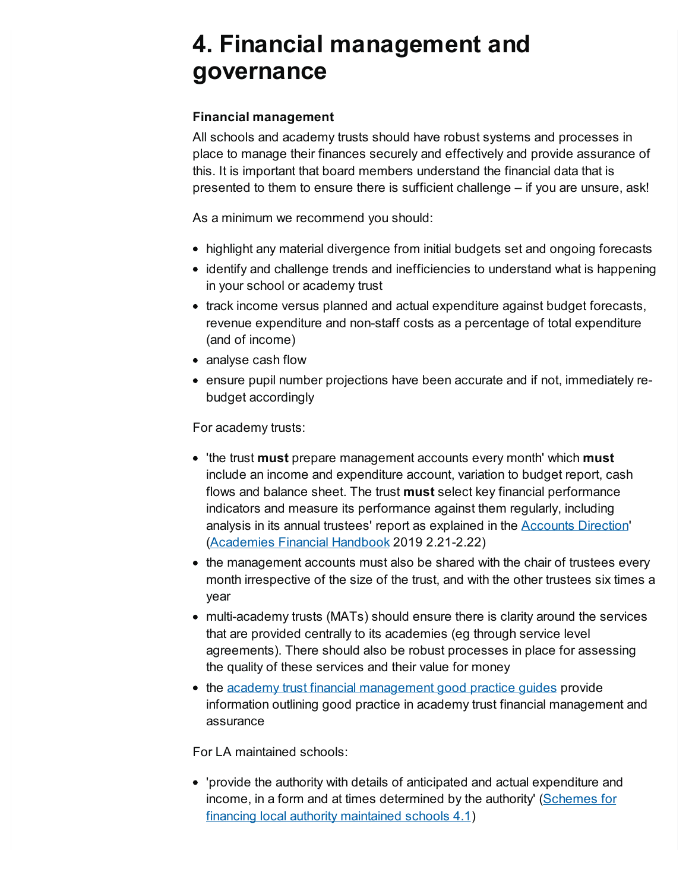# <span id="page-9-0"></span>**4. Financial management and governance**

#### **Financial management**

All schools and academy trusts should have robust systems and processes in place to manage their finances securely and effectively and provide assurance of this. It is important that board members understand the financial data that is presented to them to ensure there is sufficient challenge – if you are unsure, ask!

As a minimum we recommend you should:

- highlight any material divergence from initial budgets set and ongoing forecasts
- identify and challenge trends and inefficiencies to understand what is happening in your school or academy trust
- track income versus planned and actual expenditure against budget forecasts, revenue expenditure and non-staff costs as a percentage of total expenditure (and of income)
- analyse cash flow
- ensure pupil number projections have been accurate and if not, immediately rebudget accordingly

For academy trusts:

- 'the trust **must** prepare management accounts every month' which **must** include an income and expenditure account, variation to budget report, cash flows and balance sheet. The trust **must** select key financial performance indicators and measure its performance against them regularly, including analysis in its annual trustees' report as explained in the **[Accounts](https://www.gov.uk/guidance/academies-accounts-direction) Direction'** [\(Academies](https://www.gov.uk/government/publications/academies-financial-handbook) Financial Handbook 2019 2.21-2.22)
- the management accounts must also be shared with the chair of trustees every month irrespective of the size of the trust, and with the other trustees six times a year
- multi-academy trusts (MATs) should ensure there is clarity around the services that are provided centrally to its academies (eg through service level agreements). There should also be robust processes in place for assessing the quality of these services and their value for money
- the academy trust financial [management](https://www.gov.uk/government/publications/academy-trust-financial-management-good-practice-guides) good practice guides provide information outlining good practice in academy trust financial management and assurance

For LA maintained schools:

'provide the authority with details of anticipated and actual expenditure and income, in a form and at times [determined](https://www.gov.uk/government/publications/schemes-for-financing-schools) by the authority' (Schemes for financing local authority maintained schools 4.1)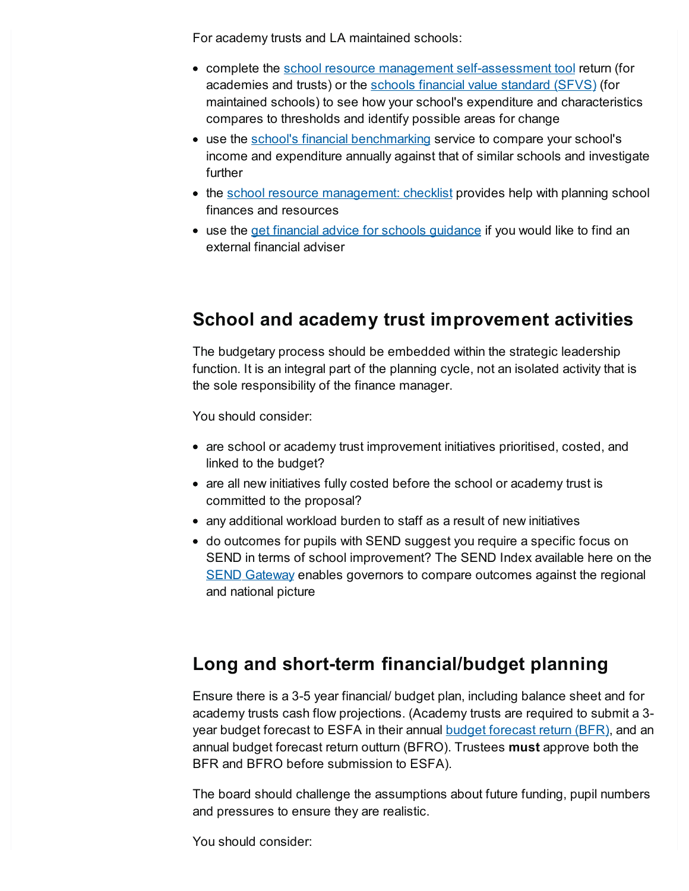For academy trusts and LA maintained schools:

- complete the school resource management [self-assessment](https://www.gov.uk/government/publications/school-resource-management-self-assessment-tool) tool return (for academies and trusts) or the schools financial value [standard](https://www.gov.uk/government/publications/schools-financial-value-standard-sfvs) (SFVS) (for maintained schools) to see how your school's expenditure and characteristics compares to thresholds and identify possible areas for change
- use the school's financial [benchmarking](https://www.gov.uk/guidance/schools-financial-efficiency-financial-benchmarking) service to compare your school's income and expenditure annually against that of similar schools and investigate further
- the school resource [management:](https://www.gov.uk/guidance/school-resource-management-checklist) checklist provides help with planning school finances and resources
- use the get financial advice for schools [guidance](https://www.gov.uk/guidance/get-financial-advice-for-schools) if you would like to find an external financial adviser

#### **School and academy trust improvement activities**

The budgetary process should be embedded within the strategic leadership function. It is an integral part of the planning cycle, not an isolated activity that is the sole responsibility of the finance manager.

You should consider:

- are school or academy trust improvement initiatives prioritised, costed, and linked to the budget?
- are all new initiatives fully costed before the school or academy trust is committed to the proposal?
- any additional workload burden to staff as a result of new initiatives
- do outcomes for pupils with SEND suggest you require a specific focus on SEND in terms of school improvement? The SEND Index available here on the SEND [Gateway](https://www.sendgateway.org.uk/whole-school-send/send-research/) enables governors to compare outcomes against the regional and national picture

### **Long and short-term financial/budget planning**

Ensure there is a 3-5 year financial/ budget plan, including balance sheet and for academy trusts cash flow projections. (Academy trusts are required to submit a 3 year budget [forecast](https://www.gov.uk/guidance/academies-budget-forecast-return) to ESFA in their annual **budget forecast return (BFR)**, and an annual budget forecast return outturn (BFRO). Trustees **must** approve both the BFR and BFRO before submission to ESFA).

The board should challenge the assumptions about future funding, pupil numbers and pressures to ensure they are realistic.

You should consider: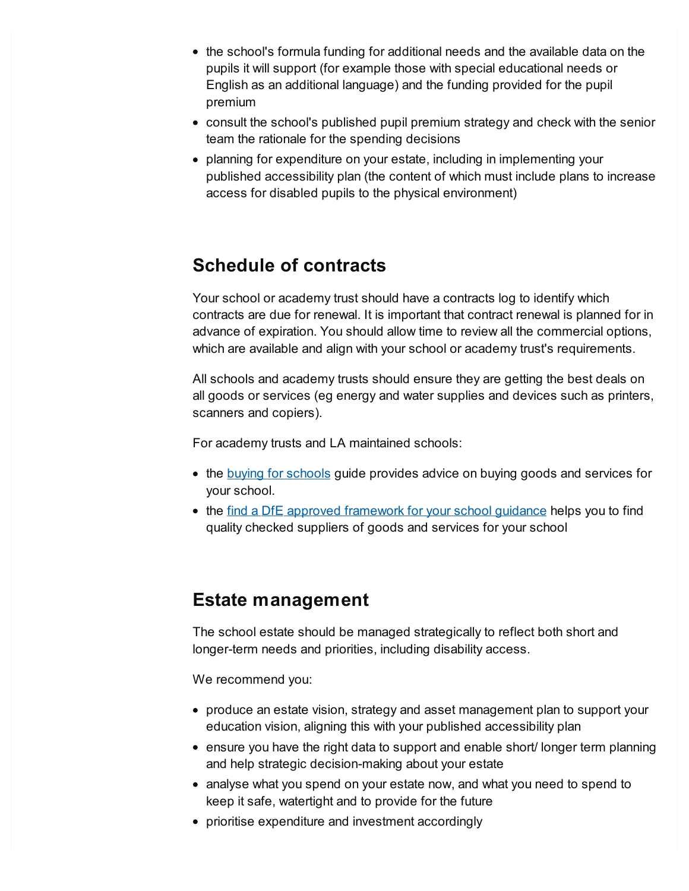- the school's formula funding for additional needs and the available data on the pupils it will support (for example those with special educational needs or English as an additional language) and the funding provided for the pupil premium
- consult the school's published pupil premium strategy and check with the senior team the rationale for the spending decisions
- planning for expenditure on your estate, including in implementing your published accessibility plan (the content of which must include plans to increase access for disabled pupils to the physical environment)

### **Schedule of contracts**

Your school or academy trust should have a contracts log to identify which contracts are due for renewal. It is important that contract renewal is planned for in advance of expiration. You should allow time to review all the commercial options, which are available and align with your school or academy trust's requirements.

All schools and academy trusts should ensure they are getting the best deals on all goods or services (eg energy and water supplies and devices such as printers, scanners and copiers).

For academy trusts and LA maintained schools:

- the buying for [schools](https://www.gov.uk/guidance/buying-for-schools/deals-for-schools) guide provides advice on buying goods and services for your school.
- the find a DfE approved [framework](https://www.gov.uk/guidance/find-a-dfe-approved-framework-for-your-school) for your school guidance helps you to find quality checked suppliers of goods and services for your school

#### **Estate management**

The school estate should be managed strategically to reflect both short and longer-term needs and priorities, including disability access.

We recommend you:

- produce an estate vision, strategy and asset management plan to support your education vision, aligning this with your published accessibility plan
- ensure you have the right data to support and enable short/ longer term planning and help strategic decision-making about your estate
- analyse what you spend on your estate now, and what you need to spend to keep it safe, watertight and to provide for the future
- prioritise expenditure and investment accordingly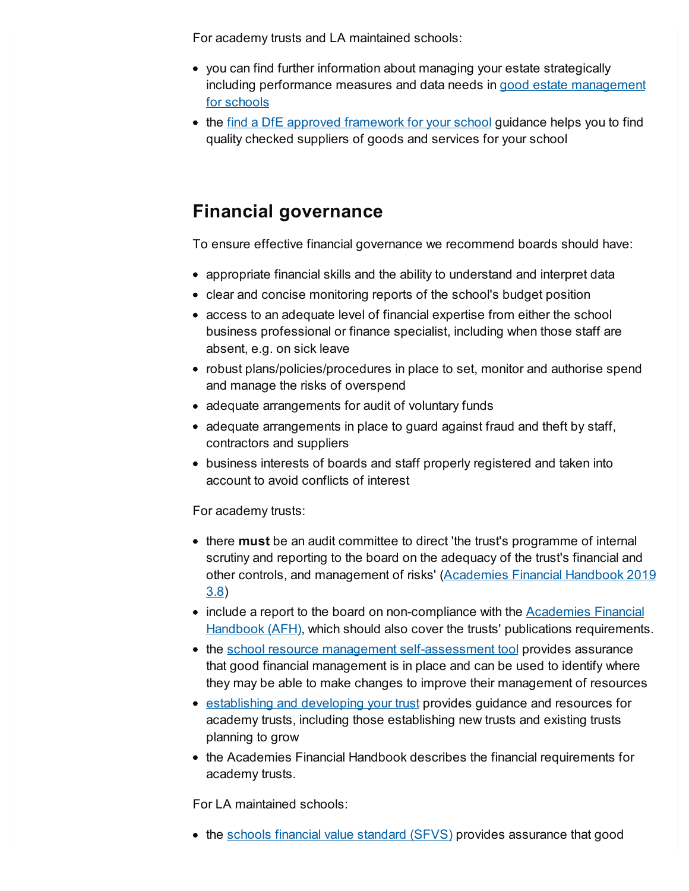For academy trusts and LA maintained schools:

- you can find further information about managing your estate strategically including performance measures and data needs in good estate [management](https://www.gov.uk/guidance/good-estate-management-for-schools) for schools
- the find a DfE approved [framework](https://www.gov.uk/guidance/find-a-dfe-approved-framework-for-your-school) for your school guidance helps you to find quality checked suppliers of goods and services for your school

### **Financial governance**

To ensure effective financial governance we recommend boards should have:

- appropriate financial skills and the ability to understand and interpret data
- clear and concise monitoring reports of the school's budget position
- access to an adequate level of financial expertise from either the school business professional or finance specialist, including when those staff are absent, e.g. on sick leave
- robust plans/policies/procedures in place to set, monitor and authorise spend and manage the risks of overspend
- adequate arrangements for audit of voluntary funds
- adequate arrangements in place to guard against fraud and theft by staff, contractors and suppliers
- business interests of boards and staff properly registered and taken into account to avoid conflicts of interest

For academy trusts:

- there **must** be an audit committee to direct 'the trust's programme of internal scrutiny and reporting to the board on the adequacy of the trust's financial and other controls, and [management](https://www.gov.uk/government/publications/academies-financial-handbook) of risks' (Academies Financial Handbook 2019 3.8)
- include a report to the board on non-compliance with the **Academies Financial** [Handbook](https://www.gov.uk/government/publications/academies-financial-handbook) (AFH), which should also cover the trusts' publications requirements.
- the school resource management [self-assessment](https://www.gov.uk/government/publications/school-resource-management-self-assessment-tool) tool provides assurance that good financial management is in place and can be used to identify where they may be able to make changes to improve their management of resources
- [establishing](https://www.gov.uk/government/publications/multi-academy-trusts-establishing-and-developing-your-trust) and developing your trust provides guidance and resources for academy trusts, including those establishing new trusts and existing trusts planning to grow
- the Academies Financial Handbook describes the financial requirements for academy trusts.

For LA maintained schools:

• the schools financial value [standard](https://www.gov.uk/guidance/schools-financial-value-standard-and-assurance-sfvs) (SFVS) provides assurance that good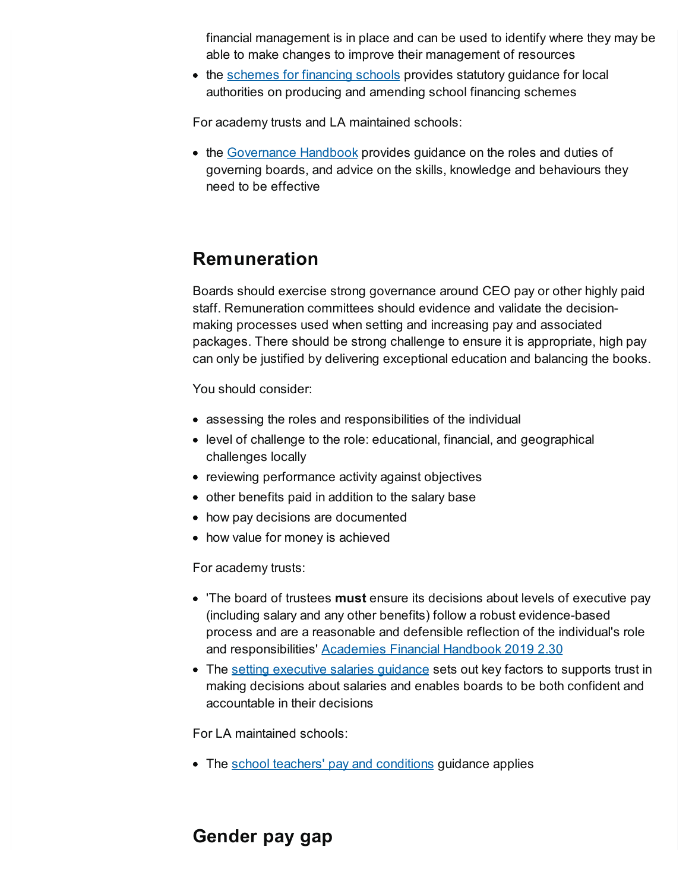financial management is in place and can be used to identify where they may be able to make changes to improve their management of resources

• the [schemes](https://www.gov.uk/government/publications/schemes-for-financing-schools) for financing schools provides statutory guidance for local authorities on producing and amending school financing schemes

For academy trusts and LA maintained schools:

• the [Governance](https://www.gov.uk/government/publications/governance-handbook) Handbook provides guidance on the roles and duties of governing boards, and advice on the skills, knowledge and behaviours they need to be effective

#### **Remuneration**

Boards should exercise strong governance around CEO pay or other highly paid staff. Remuneration committees should evidence and validate the decisionmaking processes used when setting and increasing pay and associated packages. There should be strong challenge to ensure it is appropriate, high pay can only be justified by delivering exceptional education and balancing the books.

You should consider:

- assessing the roles and responsibilities of the individual
- level of challenge to the role: educational, financial, and geographical challenges locally
- reviewing performance activity against objectives
- other benefits paid in addition to the salary base
- how pay decisions are documented
- how value for money is achieved

For academy trusts:

- 'The board of trustees **must** ensure its decisions about levels of executive pay (including salary and any other benefits) follow a robust evidence-based process and are a reasonable and defensible reflection of the individual's role and responsibilities' [Academies](https://www.gov.uk/government/publications/academies-financial-handbook) Financial Handbook 2019 2.30
- The setting [executive](https://www.gov.uk/government/publications/setting-executive-salaries-guidance-for-academy-trusts) salaries guidance sets out key factors to supports trust in making decisions about salaries and enables boards to be both confident and accountable in their decisions

For LA maintained schools:

• The school teachers' pay and [conditions](https://www.gov.uk/government/publications/school-teachers-pay-and-conditions) guidance applies

#### **Gender pay gap**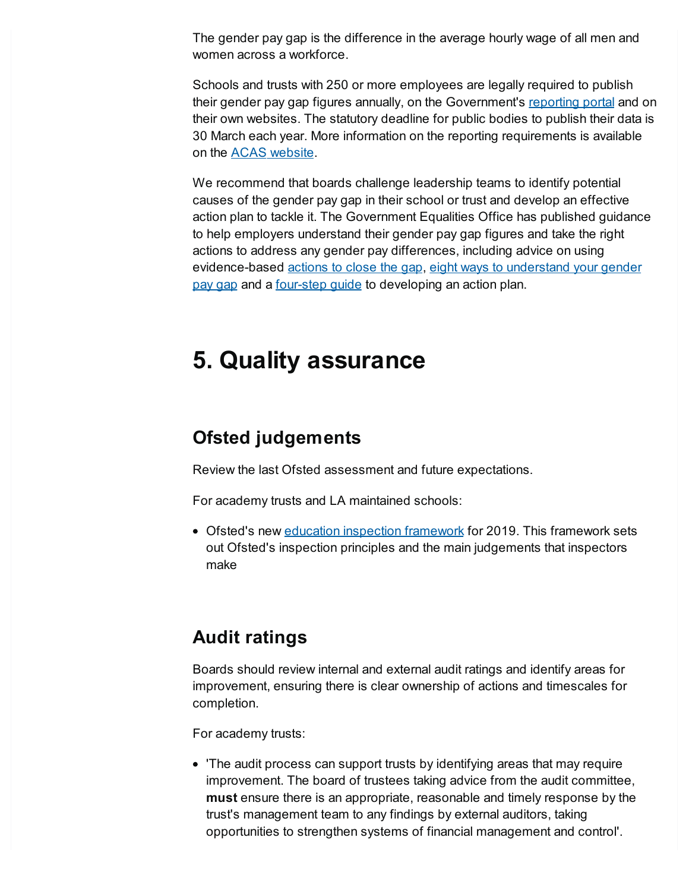The gender pay gap is the difference in the average hourly wage of all men and women across a workforce.

Schools and trusts with 250 or more employees are legally required to publish their gender pay gap figures annually, on the Government's [reporting](https://gender-pay-gap.service.gov.uk/) portal and on their own websites. The statutory deadline for public bodies to publish their data is 30 March each year. More information on the reporting requirements is available on the ACAS [website](http://www.acas.org.uk/genderpay).

We recommend that boards challenge leadership teams to identify potential causes of the gender pay gap in their school or trust and develop an effective action plan to tackle it. The Government Equalities Office has published guidance to help employers understand their gender pay gap figures and take the right actions to address any gender pay differences, including advice on using [evidence-based](https://gender-pay-gap.service.gov.uk/public/assets/pdf/understand-your-gender-pay-gap.pdf) [actions](https://gender-pay-gap.service.gov.uk/actions-to-close-the-gap) to close the gap, eight ways to understand your gender pay gap and a [four-step](https://gender-pay-gap.service.gov.uk/public/assets/pdf/action-plan-guidance.pdf) quide to developing an action plan.

## **5. Quality assurance**

#### **Ofsted judgements**

Review the last Ofsted assessment and future expectations.

For academy trusts and LA maintained schools:

• Ofsted's new education inspection [framework](https://www.gov.uk/government/collections/education-inspection-framework) for 2019. This framework sets out Ofsted's inspection principles and the main judgements that inspectors make

### **Audit ratings**

Boards should review internal and external audit ratings and identify areas for improvement, ensuring there is clear ownership of actions and timescales for completion.

For academy trusts:

'The audit process can support trusts by identifying areas that may require improvement. The board of trustees taking advice from the audit committee, **must** ensure there is an appropriate, reasonable and timely response by the trust's management team to any findings by external auditors, taking opportunities to strengthen systems of financial management and control'.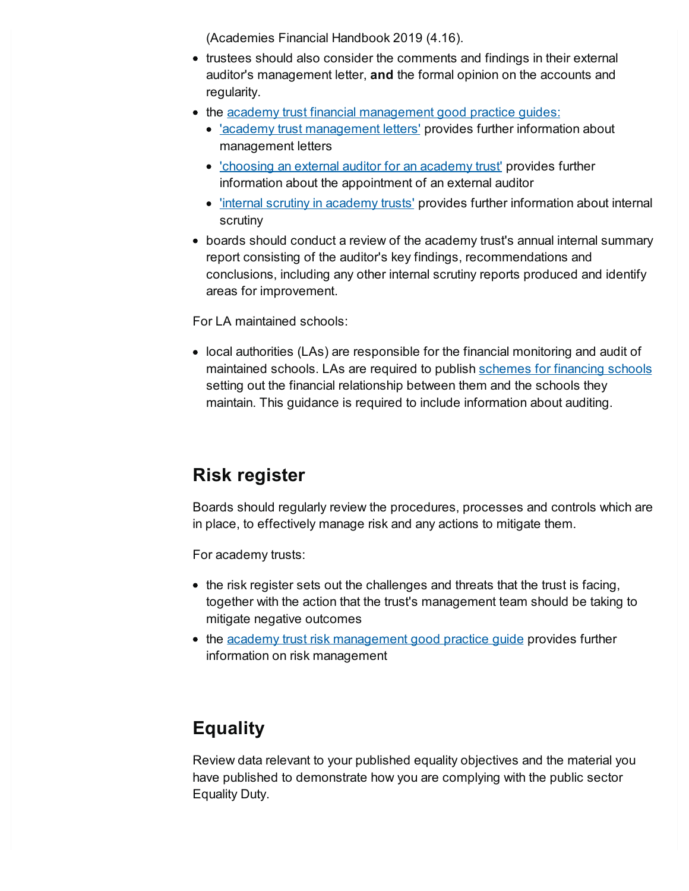(Academies Financial Handbook 2019 (4.16).

- trustees should also consider the comments and findings in their external auditor's management letter, **and** the formal opinion on the accounts and regularity.
- the academy trust financial [management](https://www.gov.uk/government/publications/academy-trust-financial-management-good-practice-guides) good practice quides:
	- 'academy trust [management](https://www.gov.uk/government/publications/academy-trust-financial-management-good-practice-guides) letters' provides further information about management letters
	- ['choosing](https://www.gov.uk/government/publications/academy-trust-financial-management-good-practice-guides) an external auditor for an academy trust' provides further information about the appointment of an external auditor
	- 'internal scrutiny in [academy](https://www.gov.uk/government/publications/academy-trust-financial-management-good-practice-guides) trusts' provides further information about internal scrutiny
- boards should conduct a review of the academy trust's annual internal summary report consisting of the auditor's key findings, recommendations and conclusions, including any other internal scrutiny reports produced and identify areas for improvement.

For LA maintained schools:

• local authorities (LAs) are responsible for the financial monitoring and audit of maintained schools. LAs are required to publish [schemes](http://www.gov.uk/government/publications/schemes-for-financing-schools) for financing schools setting out the financial relationship between them and the schools they maintain. This guidance is required to include information about auditing.

### **Risk register**

Boards should regularly review the procedures, processes and controls which are in place, to effectively manage risk and any actions to mitigate them.

For academy trusts:

- the risk register sets out the challenges and threats that the trust is facing, together with the action that the trust's management team should be taking to mitigate negative outcomes
- the academy trust risk [management](https://www.gov.uk/government/publications/academy-trust-financial-management-good-practice-guides) good practice guide provides further information on risk management

### **Equality**

Review data relevant to your published equality objectives and the material you have published to demonstrate how you are complying with the public sector Equality Duty.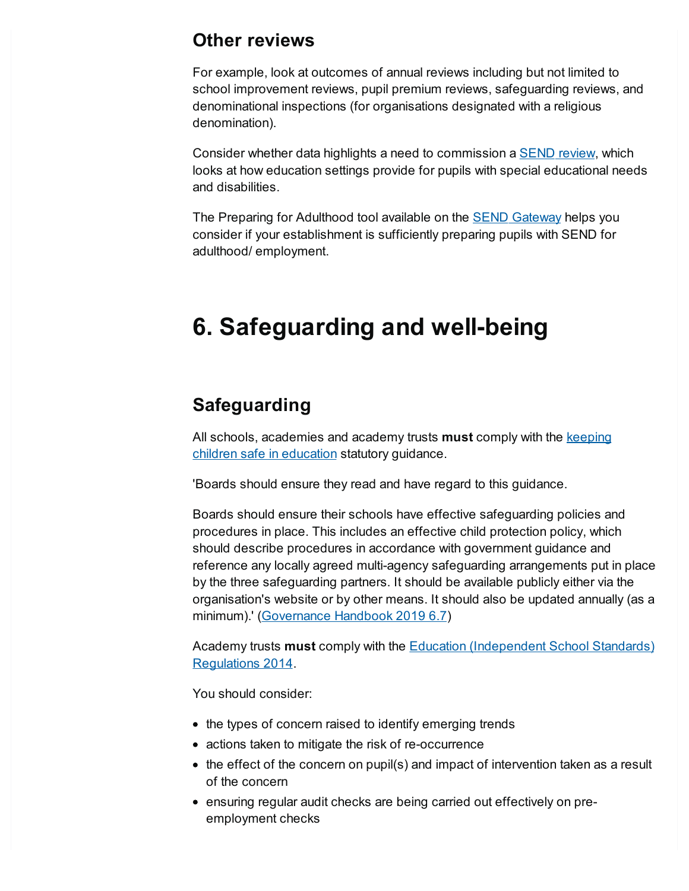#### **Other reviews**

For example, look at outcomes of annual reviews including but not limited to school improvement reviews, pupil premium reviews, safeguarding reviews, and denominational inspections (for organisations designated with a religious denomination).

Consider whether data highlights a need to commission a **[SEND](http://www.gov.uk/guidance/commissioning-a-send-review)** review, which looks at how education settings provide for pupils with special educational needs and disabilities.

The Preparing for Adulthood tool available on the SEND [Gateway](https://www.sendgateway.org.uk/whole-school-send/find-wss-resources.html) helps you consider if your establishment is sufficiently preparing pupils with SEND for adulthood/ employment.

## <span id="page-16-0"></span>**6. Safeguarding and well-being**

#### **Safeguarding**

All schools, [academies](https://www.gov.uk/government/publications/keeping-children-safe-in-education--2) and academy trusts **must** comply with the keeping children safe in education statutory guidance.

'Boards should ensure they read and have regard to this guidance.

Boards should ensure their schools have effective safeguarding policies and procedures in place. This includes an effective child protection policy, which should describe procedures in accordance with government guidance and reference any locally agreed multi-agency safeguarding arrangements put in place by the three safeguarding partners. It should be available publicly either via the organisation's website or by other means. It should also be updated annually (as a minimum).' [\(Governance](https://www.gov.uk/government/publications/governance-handbook) Handbook 2019 6.7)

Academy trusts **must** comply with the Education [\(Independent](https://www.legislation.gov.uk/uksi/2014/3283/pdfs/uksi_20143283_en.pdf) School Standards) Regulations 2014.

You should consider:

- the types of concern raised to identify emerging trends
- actions taken to mitigate the risk of re-occurrence
- the effect of the concern on pupil(s) and impact of intervention taken as a result of the concern
- ensuring regular audit checks are being carried out effectively on preemployment checks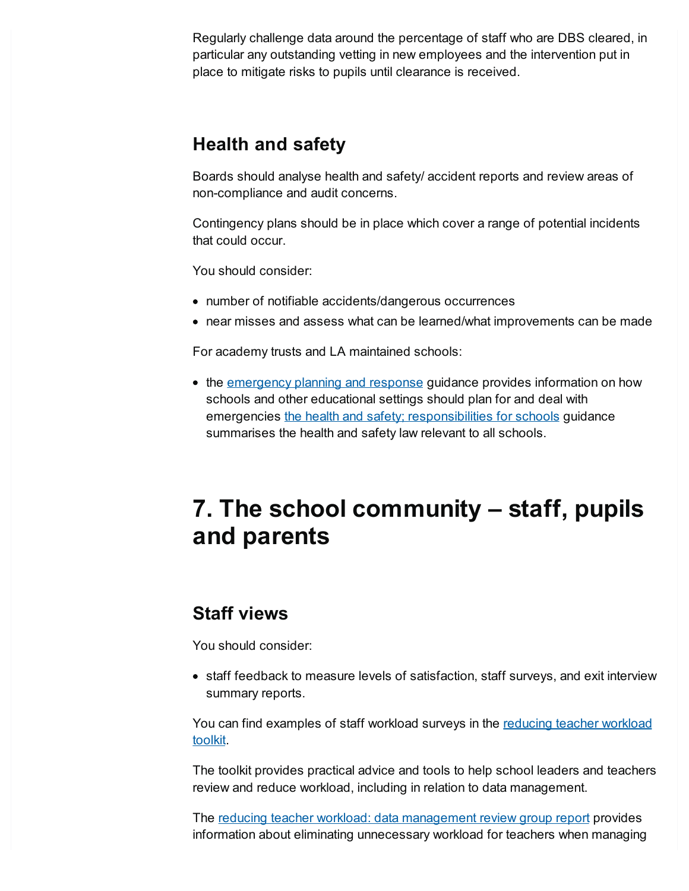Regularly challenge data around the percentage of staff who are DBS cleared, in particular any outstanding vetting in new employees and the intervention put in place to mitigate risks to pupils until clearance is received.

#### **Health and safety**

Boards should analyse health and safety/ accident reports and review areas of non-compliance and audit concerns.

Contingency plans should be in place which cover a range of potential incidents that could occur.

You should consider:

- number of notifiable accidents/dangerous occurrences
- near misses and assess what can be learned/what improvements can be made

For academy trusts and LA maintained schools:

• the [emergency](https://www.gov.uk/guidance/emergencies-and-severe-weather-schools-and-early-years-settings) planning and response guidance provides information on how schools and other educational settings should plan for and deal with emergencies the health and safety; [responsibilities](https://www.gov.uk/government/publications/health-and-safety-advice-for-schools/responsibilities-and-duties-for-schools#responsibilities) for schools guidance summarises the health and safety law relevant to all schools.

# <span id="page-17-0"></span>**7. The school community – staff, pupils and parents**

#### **Staff views**

You should consider:

• staff feedback to measure levels of satisfaction, staff surveys, and exit interview summary reports.

You can find [examples](https://www.gov.uk/government/publications/reducing-workload-identify-the-issues-in-your-school) of staff workload surveys in the reducing teacher workload toolkit.

The toolkit provides practical advice and tools to help school leaders and teachers review and reduce workload, including in relation to data management.

The reducing teacher workload: data [management](https://www.gov.uk/government/publications/reducing-teacher-workload-data-management-review-group-report) review group report provides information about eliminating unnecessary workload for teachers when managing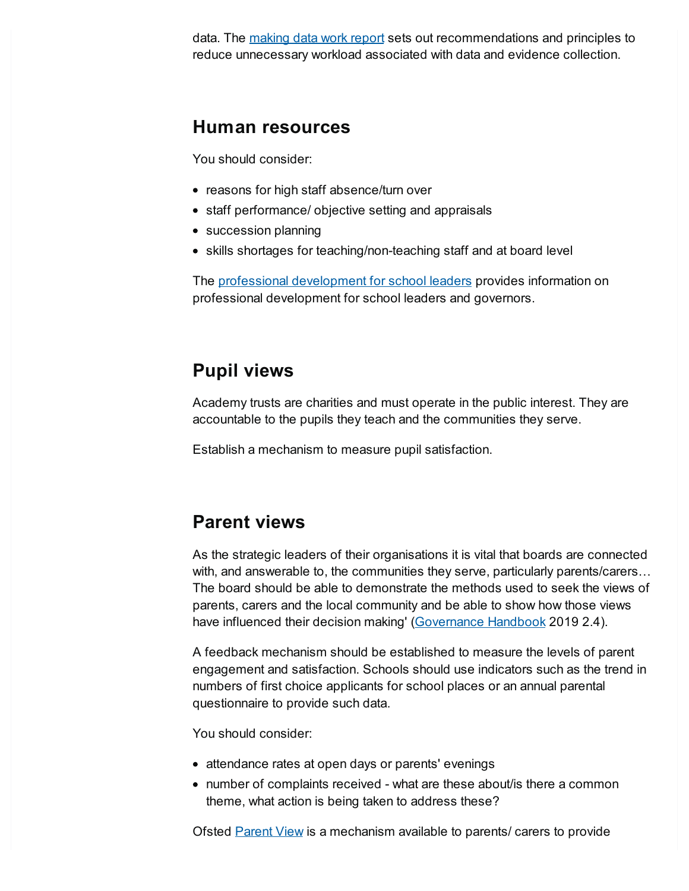data. The [making](https://www.gov.uk/government/publications/teacher-workload-advisory-group-report-and-government-response) data work report sets out recommendations and principles to reduce unnecessary workload associated with data and evidence collection.

#### **Human resources**

You should consider:

- reasons for high staff absence/turn over
- staff performance/ objective setting and appraisals
- succession planning
- skills shortages for teaching/non-teaching staff and at board level

The professional [development](https://www.gov.uk/government/collections/professional-development-for-school-leaders) for school leaders provides information on professional development for school leaders and governors.

#### **Pupil views**

Academy trusts are charities and must operate in the public interest. They are accountable to the pupils they teach and the communities they serve.

Establish a mechanism to measure pupil satisfaction.

#### **Parent views**

As the strategic leaders of their organisations it is vital that boards are connected with, and answerable to, the communities they serve, particularly parents/carers... The board should be able to demonstrate the methods used to seek the views of parents, carers and the local community and be able to show how those views have influenced their decision making' [\(Governance](https://www.gov.uk/government/publications/governance-handbook) Handbook 2019 2.4).

A feedback mechanism should be established to measure the levels of parent engagement and satisfaction. Schools should use indicators such as the trend in numbers of first choice applicants for school places or an annual parental questionnaire to provide such data.

You should consider:

- attendance rates at open days or parents' evenings
- number of complaints received what are these about/is there a common theme, what action is being taken to address these?

Ofsted **[Parent](https://www.gov.uk/government/publications/parent-view-toolkit-for-schools/parent-view-toolkit-for-schools) View** is a mechanism available to parents/ carers to provide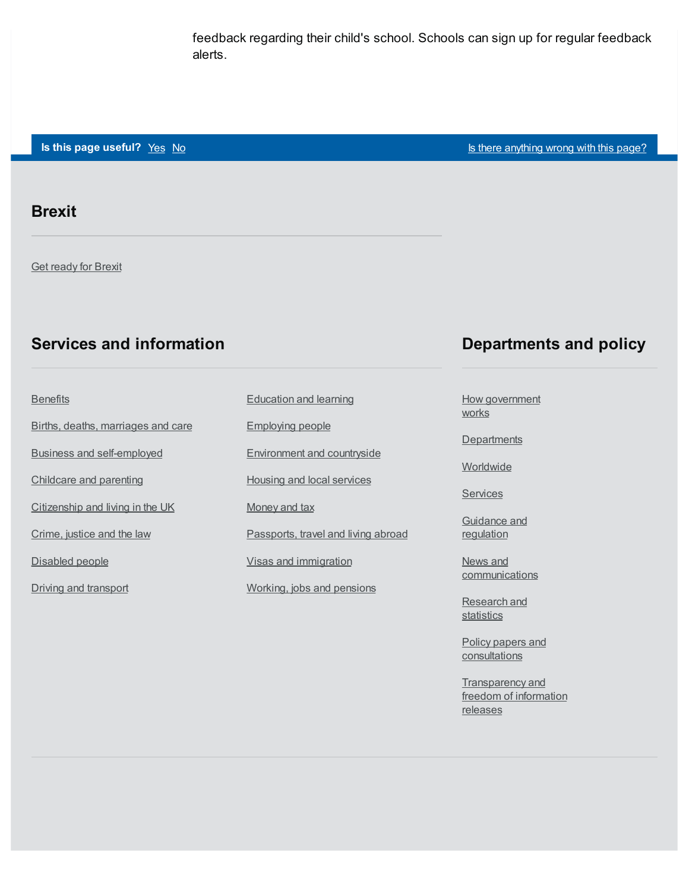feedback regarding their child's school. Schools can sign up for regular feedback alerts.

#### **Is this page useful?** [Yes](https://www.gov.uk/contact/govuk) [No](https://www.gov.uk/contact/govuk) Is the Magnetic Control of the Magnetic Section 1 and 1 and 1 and 1 and 1 and 1 and 1 and 1 and 1 and 1 and 1 and 1 and 1 and 1 and 1 and 1 and 1 and 1 and 1 and 1 and 1 and 1 and 1 and 1 and

#### **Brexit**

**Get [ready](https://www.gov.uk/brexit) for Brexit** 

#### **Services and information**

#### **[Benefits](https://www.gov.uk/browse/benefits)**

Births, deaths, [marriages](https://www.gov.uk/browse/births-deaths-marriages) and care Business and [self-employed](https://www.gov.uk/browse/business) [Childcare](https://www.gov.uk/browse/childcare-parenting) and parenting [Citizenship](https://www.gov.uk/browse/citizenship) and living in the UK [Crime,](https://www.gov.uk/browse/justice) justice and the law [Disabled](https://www.gov.uk/browse/disabilities) people Driving and [transport](https://www.gov.uk/browse/driving)

## [Education](https://www.gov.uk/browse/education) and learning [Employing](https://www.gov.uk/browse/employing-people) people [Environment](https://www.gov.uk/browse/environment-countryside) and countryside Housing and local [services](https://www.gov.uk/browse/housing-local-services) [Money](https://www.gov.uk/browse/tax) and tax [Passports,](https://www.gov.uk/browse/abroad) travel and living abroad Visas and [immigration](https://www.gov.uk/browse/visas-immigration) [Working,](https://www.gov.uk/browse/working) jobs and pensions

#### **Departments and policy**

How [government](https://www.gov.uk/government/how-government-works) works

**[Departments](https://www.gov.uk/government/organisations)** 

**[Worldwide](https://www.gov.uk/world)** 

**[Services](https://www.gov.uk/search/services)** 

[Guidance](https://www.gov.uk/search/guidance-and-regulation) and regulation

News and **[communications](https://www.gov.uk/search/news-and-communications)** 

[Research](https://www.gov.uk/search/research-and-statistics) and **statistics** 

Policy papers and **[consultations](https://www.gov.uk/search/policy-papers-and-consultations)** 

[Transparency](https://www.gov.uk/search/transparency-and-freedom-of-information-releases) and freedom of information releases